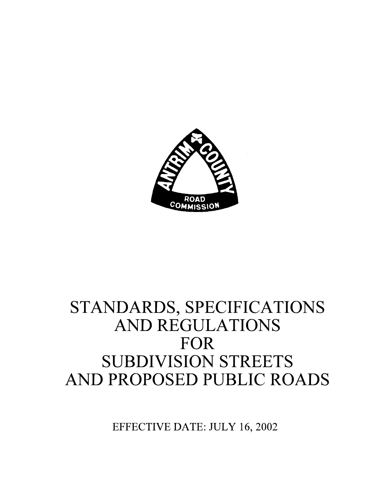

## STANDARDS, SPECIFICATIONS **AND REGULATIONS** FOR **SUBDIVISION STREETS** AND PROPOSED PUBLIC ROADS

EFFECTIVE DATE: JULY 16, 2002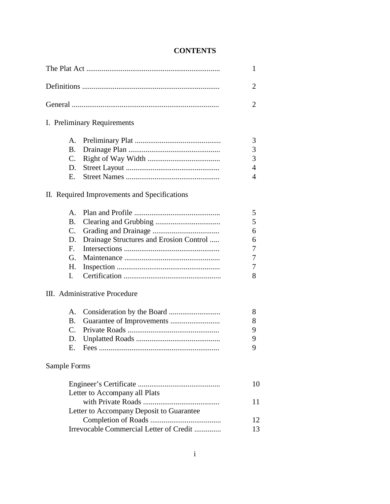#### **CONTENTS**

|              |                                               | 1              |
|--------------|-----------------------------------------------|----------------|
|              |                                               | $\overline{2}$ |
|              |                                               | $\overline{2}$ |
|              | I. Preliminary Requirements                   |                |
|              | A.                                            | 3              |
|              | <b>B.</b>                                     | 3              |
|              | $\mathcal{C}$ .                               | 3              |
|              | D.                                            | 4              |
|              | E.                                            | 4              |
|              | II. Required Improvements and Specifications  |                |
|              | $\mathsf{A}$ .                                | 5              |
|              | <b>B.</b>                                     | 5              |
|              | C.                                            | 6              |
|              | Drainage Structures and Erosion Control<br>D. | 6              |
|              | $F_{\cdot}$                                   | 7              |
|              | G.                                            | 7              |
|              | Н.                                            | 7              |
|              | L.                                            | 8              |
|              | III. Administrative Procedure                 |                |
|              | A.                                            | 8              |
|              | <b>B.</b>                                     | 8              |
|              | $\mathcal{C}$ .                               | 9              |
|              | D.                                            | 9              |
|              | Ε.<br>Fees                                    | 9              |
| Sample Forms |                                               |                |
|              |                                               | 10             |
|              | Letter to Accompany all Plats                 |                |
|              |                                               | 11             |
|              | Letter to Accompany Deposit to Guarantee      |                |
|              |                                               | 12             |
|              | Irrevocable Commercial Letter of Credit       | 13             |
|              |                                               |                |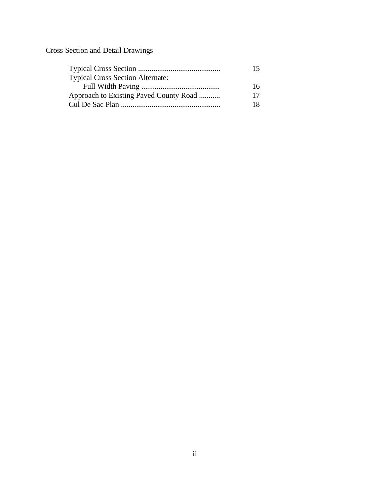Cross Section and Detail Drawings

|                                         | 15 |
|-----------------------------------------|----|
| <b>Typical Cross Section Alternate:</b> |    |
|                                         | 16 |
| Approach to Existing Paved County Road  | 17 |
|                                         | 18 |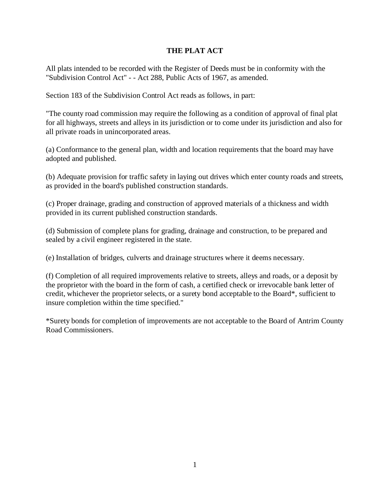#### **THE PLAT ACT**

All plats intended to be recorded with the Register of Deeds must be in conformity with the "Subdivision Control Act" - - Act 288, Public Acts of 1967, as amended.

Section 183 of the Subdivision Control Act reads as follows, in part:

"The county road commission may require the following as a condition of approval of final plat for all highways, streets and alleys in its jurisdiction or to come under its jurisdiction and also for all private roads in unincorporated areas.

(a) Conformance to the general plan, width and location requirements that the board may have adopted and published.

(b) Adequate provision for traffic safety in laying out drives which enter county roads and streets, as provided in the board's published construction standards.

(c) Proper drainage, grading and construction of approved materials of a thickness and width provided in its current published construction standards.

(d) Submission of complete plans for grading, drainage and construction, to be prepared and sealed by a civil engineer registered in the state.

(e) Installation of bridges, culverts and drainage structures where it deems necessary.

(f) Completion of all required improvements relative to streets, alleys and roads, or a deposit by the proprietor with the board in the form of cash, a certified check or irrevocable bank letter of credit, whichever the proprietor selects, or a surety bond acceptable to the Board\*, sufficient to insure completion within the time specified."

\*Surety bonds for completion of improvements are not acceptable to the Board of Antrim County Road Commissioners.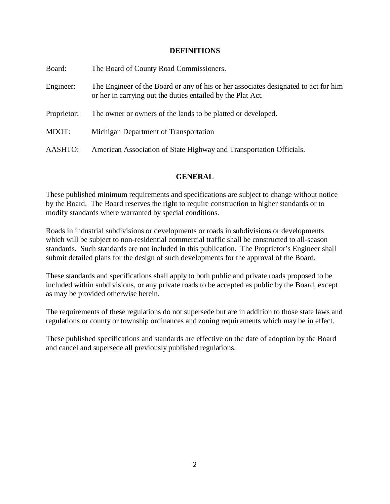#### **DEFINITIONS**

| Board:      | The Board of County Road Commissioners.                                                                                                            |
|-------------|----------------------------------------------------------------------------------------------------------------------------------------------------|
| Engineer:   | The Engineer of the Board or any of his or her associates designated to act for him<br>or her in carrying out the duties entailed by the Plat Act. |
| Proprietor: | The owner or owners of the lands to be platted or developed.                                                                                       |
| MDOT:       | Michigan Department of Transportation                                                                                                              |
| AASHTO:     | American Association of State Highway and Transportation Officials.                                                                                |

#### **GENERAL**

These published minimum requirements and specifications are subject to change without notice by the Board. The Board reserves the right to require construction to higher standards or to modify standards where warranted by special conditions.

Roads in industrial subdivisions or developments or roads in subdivisions or developments which will be subject to non-residential commercial traffic shall be constructed to all-season standards. Such standards are not included in this publication. The Proprietor's Engineer shall submit detailed plans for the design of such developments for the approval of the Board.

These standards and specifications shall apply to both public and private roads proposed to be included within subdivisions, or any private roads to be accepted as public by the Board, except as may be provided otherwise herein.

The requirements of these regulations do not supersede but are in addition to those state laws and regulations or county or township ordinances and zoning requirements which may be in effect.

These published specifications and standards are effective on the date of adoption by the Board and cancel and supersede all previously published regulations.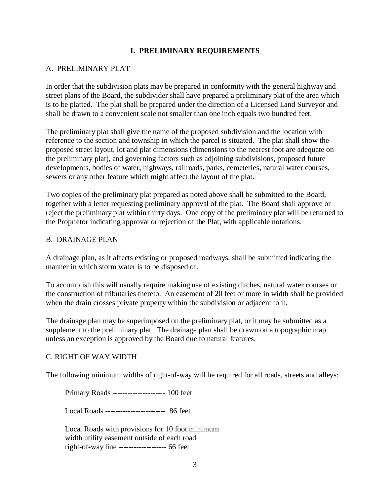#### **I. PRELIMINARY REQUIREMENTS**

#### A. PRELIMINARY PLAT

In order that the subdivision plats may be prepared in conformity with the general highway and street plans of the Board, the subdivider shall have prepared a preliminary plat of the area which is to be platted. The plat shall be prepared under the direction of a Licensed Land Surveyor and shall be drawn to a convenient scale not smaller than one inch equals two hundred feet.

The preliminary plat shall give the name of the proposed subdivision and the location with reference to the section and township in which the parcel is situated. The plat shall show the proposed street layout, lot and plat dimensions (dimensions to the nearest foot are adequate on the preliminary plat), and governing factors such as adjoining subdivisions, proposed future developments, bodies of water, highways, railroads, parks, cemeteries, natural water courses, sewers or any other feature which might affect the layout of the plat.

Two copies of the preliminary plat prepared as noted above shall be submitted to the Board, together with a letter requesting preliminary approval of the plat. The Board shall approve or reject the preliminary plat within thirty days. One copy of the preliminary plat will be returned to the Proprietor indicating approval or rejection of the Plat, with applicable notations.

#### B. DRAINAGE PLAN

A drainage plan, as it affects existing or proposed roadways, shall be submitted indicating the manner in which storm water is to be disposed of.

To accomplish this will usually require making use of existing ditches, natural water courses or the construction of tributaries thereto. An easement of 20 feet or more in width shall be provided when the drain crosses private property within the subdivision or adjacent to it.

The drainage plan may be superimposed on the preliminary plat, or it may be submitted as a supplement to the preliminary plat. The drainage plan shall be drawn on a topographic map unless an exception is approved by the Board due to natural features.

#### C. RIGHT OF WAY WIDTH

The following minimum widths of right-of-way will be required for all roads, streets and alleys:

Primary Roads --------------------- 100 feet

Local Roads ------------------------ 86 feet

 Local Roads with provisions for 10 foot minimum width utility easement outside of each road right-of-way line ------------------- 66 feet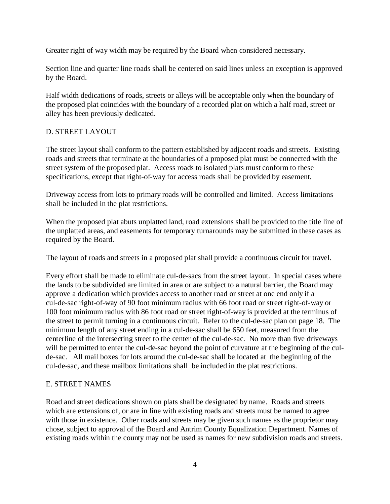Greater right of way width may be required by the Board when considered necessary.

Section line and quarter line roads shall be centered on said lines unless an exception is approved by the Board.

Half width dedications of roads, streets or alleys will be acceptable only when the boundary of the proposed plat coincides with the boundary of a recorded plat on which a half road, street or alley has been previously dedicated.

#### D. STREET LAYOUT

The street layout shall conform to the pattern established by adjacent roads and streets. Existing roads and streets that terminate at the boundaries of a proposed plat must be connected with the street system of the proposed plat. Access roads to isolated plats must conform to these specifications, except that right-of-way for access roads shall be provided by easement.

Driveway access from lots to primary roads will be controlled and limited. Access limitations shall be included in the plat restrictions.

When the proposed plat abuts unplatted land, road extensions shall be provided to the title line of the unplatted areas, and easements for temporary turnarounds may be submitted in these cases as required by the Board.

The layout of roads and streets in a proposed plat shall provide a continuous circuit for travel.

Every effort shall be made to eliminate cul-de-sacs from the street layout. In special cases where the lands to be subdivided are limited in area or are subject to a natural barrier, the Board may approve a dedication which provides access to another road or street at one end only if a cul-de-sac right-of-way of 90 foot minimum radius with 66 foot road or street right-of-way or 100 foot minimum radius with 86 foot road or street right-of-way is provided at the terminus of the street to permit turning in a continuous circuit. Refer to the cul-de-sac plan on page 18. The minimum length of any street ending in a cul-de-sac shall be 650 feet, measured from the centerline of the intersecting street to the center of the cul-de-sac. No more than five driveways will be permitted to enter the cul-de-sac beyond the point of curvature at the beginning of the culde-sac. All mail boxes for lots around the cul-de-sac shall be located at the beginning of the cul-de-sac, and these mailbox limitations shall be included in the plat restrictions.

#### E. STREET NAMES

Road and street dedications shown on plats shall be designated by name. Roads and streets which are extensions of, or are in line with existing roads and streets must be named to agree with those in existence. Other roads and streets may be given such names as the proprietor may chose, subject to approval of the Board and Antrim County Equalization Department. Names of existing roads within the county may not be used as names for new subdivision roads and streets.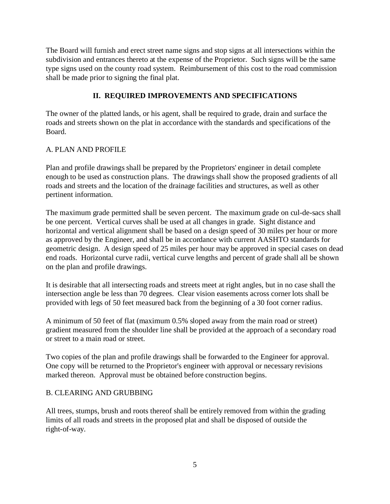The Board will furnish and erect street name signs and stop signs at all intersections within the subdivision and entrances thereto at the expense of the Proprietor. Such signs will be the same type signs used on the county road system. Reimbursement of this cost to the road commission shall be made prior to signing the final plat.

#### **II. REQUIRED IMPROVEMENTS AND SPECIFICATIONS**

The owner of the platted lands, or his agent, shall be required to grade, drain and surface the roads and streets shown on the plat in accordance with the standards and specifications of the Board.

#### A. PLAN AND PROFILE

Plan and profile drawings shall be prepared by the Proprietors' engineer in detail complete enough to be used as construction plans. The drawings shall show the proposed gradients of all roads and streets and the location of the drainage facilities and structures, as well as other pertinent information.

The maximum grade permitted shall be seven percent. The maximum grade on cul-de-sacs shall be one percent. Vertical curves shall be used at all changes in grade. Sight distance and horizontal and vertical alignment shall be based on a design speed of 30 miles per hour or more as approved by the Engineer, and shall be in accordance with current AASHTO standards for geometric design. A design speed of 25 miles per hour may be approved in special cases on dead end roads. Horizontal curve radii, vertical curve lengths and percent of grade shall all be shown on the plan and profile drawings.

It is desirable that all intersecting roads and streets meet at right angles, but in no case shall the intersection angle be less than 70 degrees. Clear vision easements across corner lots shall be provided with legs of 50 feet measured back from the beginning of a 30 foot corner radius.

A minimum of 50 feet of flat (maximum 0.5% sloped away from the main road or street) gradient measured from the shoulder line shall be provided at the approach of a secondary road or street to a main road or street.

Two copies of the plan and profile drawings shall be forwarded to the Engineer for approval. One copy will be returned to the Proprietor's engineer with approval or necessary revisions marked thereon. Approval must be obtained before construction begins.

#### B. CLEARING AND GRUBBING

All trees, stumps, brush and roots thereof shall be entirely removed from within the grading limits of all roads and streets in the proposed plat and shall be disposed of outside the right-of-way.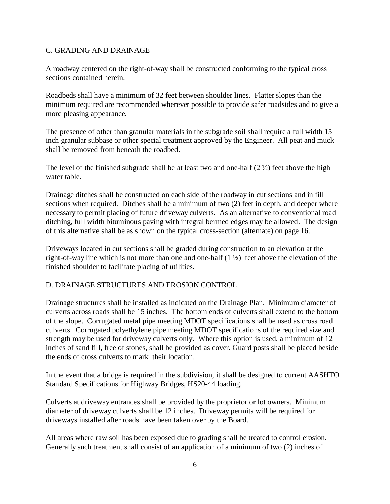#### C. GRADING AND DRAINAGE

A roadway centered on the right-of-way shall be constructed conforming to the typical cross sections contained herein.

Roadbeds shall have a minimum of 32 feet between shoulder lines. Flatter slopes than the minimum required are recommended wherever possible to provide safer roadsides and to give a more pleasing appearance.

The presence of other than granular materials in the subgrade soil shall require a full width 15 inch granular subbase or other special treatment approved by the Engineer. All peat and muck shall be removed from beneath the roadbed.

The level of the finished subgrade shall be at least two and one-half  $(2 \frac{1}{2})$  feet above the high water table.

Drainage ditches shall be constructed on each side of the roadway in cut sections and in fill sections when required. Ditches shall be a minimum of two (2) feet in depth, and deeper where necessary to permit placing of future driveway culverts. As an alternative to conventional road ditching, full width bituminous paving with integral bermed edges may be allowed. The design of this alternative shall be as shown on the typical cross-section (alternate) on page 16.

Driveways located in cut sections shall be graded during construction to an elevation at the right-of-way line which is not more than one and one-half (1 ½) feet above the elevation of the finished shoulder to facilitate placing of utilities.

#### D. DRAINAGE STRUCTURES AND EROSION CONTROL

Drainage structures shall be installed as indicated on the Drainage Plan. Minimum diameter of culverts across roads shall be 15 inches. The bottom ends of culverts shall extend to the bottom of the slope. Corrugated metal pipe meeting MDOT specifications shall be used as cross road culverts. Corrugated polyethylene pipe meeting MDOT specifications of the required size and strength may be used for driveway culverts only. Where this option is used, a minimum of 12 inches of sand fill, free of stones, shall be provided as cover. Guard posts shall be placed beside the ends of cross culverts to mark their location.

In the event that a bridge is required in the subdivision, it shall be designed to current AASHTO Standard Specifications for Highway Bridges, HS20-44 loading.

Culverts at driveway entrances shall be provided by the proprietor or lot owners. Minimum diameter of driveway culverts shall be 12 inches. Driveway permits will be required for driveways installed after roads have been taken over by the Board.

All areas where raw soil has been exposed due to grading shall be treated to control erosion. Generally such treatment shall consist of an application of a minimum of two (2) inches of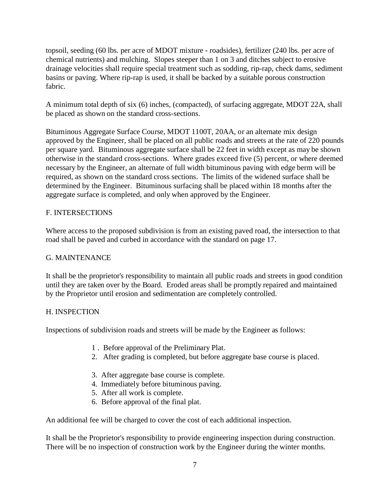topsoil, seeding (60 lbs. per acre of MDOT mixture - roadsides), fertilizer (240 lbs. per acre of chemical nutrients) and mulching. Slopes steeper than 1 on 3 and ditches subject to erosive drainage velocities shall require special treatment such as sodding, rip-rap, check dams, sediment basins or paving. Where rip-rap is used, it shall be backed by a suitable porous construction fabric.

A minimum total depth of six (6) inches, (compacted), of surfacing aggregate, MDOT 22A, shall be placed as shown on the standard cross-sections.

Bituminous Aggregate Surface Course, MDOT 1100T, 20AA, or an alternate mix design approved by the Engineer, shall be placed on all public roads and streets at the rate of 220 pounds per square yard. Bituminous aggregate surface shall be 22 feet in width except as may be shown otherwise in the standard cross-sections. Where grades exceed five (5) percent, or where deemed necessary by the Engineer, an alternate of full width bituminous paving with edge berm will be required, as shown on the standard cross sections. The limits of the widened surface shall be determined by the Engineer. Bituminous surfacing shall be placed within 18 months after the aggregate surface is completed, and only when approved by the Engineer.

#### F. INTERSECTIONS

Where access to the proposed subdivision is from an existing paved road, the intersection to that road shall be paved and curbed in accordance with the standard on page 17.

#### G. MAINTENANCE

It shall be the proprietor's responsibility to maintain all public roads and streets in good condition until they are taken over by the Board. Eroded areas shall be promptly repaired and maintained by the Proprietor until erosion and sedimentation are completely controlled.

#### H. INSPECTION

Inspections of subdivision roads and streets will be made by the Engineer as follows:

- 1 . Before approval of the Preliminary Plat.
- 2. After grading is completed, but before aggregate base course is placed.
- 3. After aggregate base course is complete.
- 4. Immediately before bituminous paving.
- 5. After all work is complete.
- 6. Before approval of the final plat.

An additional fee will be charged to cover the cost of each additional inspection.

It shall be the Proprietor's responsibility to provide engineering inspection during construction. There will be no inspection of construction work by the Engineer during the winter months.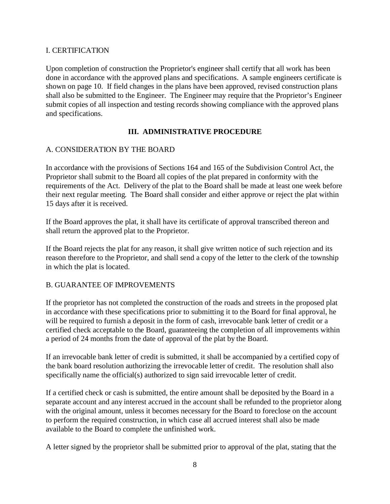#### I. CERTIFICATION

Upon completion of construction the Proprietor's engineer shall certify that all work has been done in accordance with the approved plans and specifications. A sample engineers certificate is shown on page 10. If field changes in the plans have been approved, revised construction plans shall also be submitted to the Engineer. The Engineer may require that the Proprietor's Engineer submit copies of all inspection and testing records showing compliance with the approved plans and specifications.

#### **III. ADMINISTRATIVE PROCEDURE**

#### A. CONSIDERATION BY THE BOARD

In accordance with the provisions of Sections 164 and 165 of the Subdivision Control Act, the Proprietor shall submit to the Board all copies of the plat prepared in conformity with the requirements of the Act. Delivery of the plat to the Board shall be made at least one week before their next regular meeting. The Board shall consider and either approve or reject the plat within 15 days after it is received.

If the Board approves the plat, it shall have its certificate of approval transcribed thereon and shall return the approved plat to the Proprietor.

If the Board rejects the plat for any reason, it shall give written notice of such rejection and its reason therefore to the Proprietor, and shall send a copy of the letter to the clerk of the township in which the plat is located.

#### B. GUARANTEE OF IMPROVEMENTS

If the proprietor has not completed the construction of the roads and streets in the proposed plat in accordance with these specifications prior to submitting it to the Board for final approval, he will be required to furnish a deposit in the form of cash, irrevocable bank letter of credit or a certified check acceptable to the Board, guaranteeing the completion of all improvements within a period of 24 months from the date of approval of the plat by the Board.

If an irrevocable bank letter of credit is submitted, it shall be accompanied by a certified copy of the bank board resolution authorizing the irrevocable letter of credit. The resolution shall also specifically name the official(s) authorized to sign said irrevocable letter of credit.

If a certified check or cash is submitted, the entire amount shall be deposited by the Board in a separate account and any interest accrued in the account shall be refunded to the proprietor along with the original amount, unless it becomes necessary for the Board to foreclose on the account to perform the required construction, in which case all accrued interest shall also be made available to the Board to complete the unfinished work.

A letter signed by the proprietor shall be submitted prior to approval of the plat, stating that the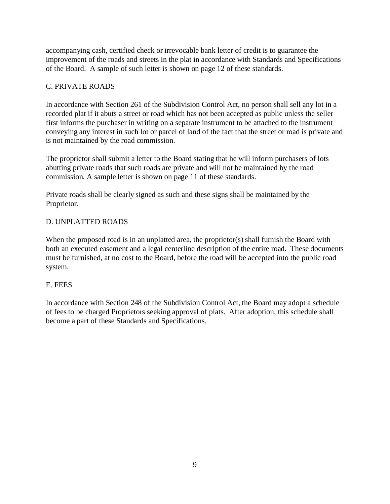accompanying cash, certified check or irrevocable bank letter of credit is to guarantee the improvement of the roads and streets in the plat in accordance with Standards and Specifications of the Board. A sample of such letter is shown on page 12 of these standards.

#### C. PRIVATE ROADS

In accordance with Section 261 of the Subdivision Control Act, no person shall sell any lot in a recorded plat if it abuts a street or road which has not been accepted as public unless the seller first informs the purchaser in writing on a separate instrument to be attached to the instrument conveying any interest in such lot or parcel of land of the fact that the street or road is private and is not maintained by the road commission.

The proprietor shall submit a letter to the Board stating that he will inform purchasers of lots abutting private roads that such roads are private and will not be maintained by the road commission. A sample letter is shown on page 11 of these standards.

Private roads shall be clearly signed as such and these signs shall be maintained by the Proprietor.

#### D. UNPLATTED ROADS

When the proposed road is in an unplatted area, the proprietor(s) shall furnish the Board with both an executed easement and a legal centerline description of the entire road. These documents must be furnished, at no cost to the Board, before the road will be accepted into the public road system.

#### E. FEES

In accordance with Section 248 of the Subdivision Control Act, the Board may adopt a schedule of fees to be charged Proprietors seeking approval of plats. After adoption, this schedule shall become a part of these Standards and Specifications.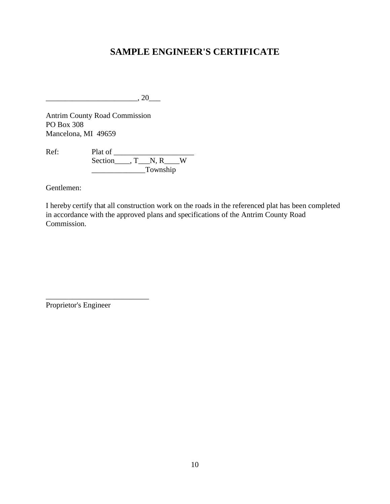### **SAMPLE ENGINEER'S CERTIFICATE**

 $\frac{1}{20}$ , 20

Antrim County Road Commission PO Box 308 Mancelona, MI 49659

Ref: Plat of \_\_\_\_\_\_\_\_\_\_\_\_\_\_\_\_\_\_\_\_\_ Section\_\_\_\_, T\_\_\_N, R\_\_\_W \_\_\_\_\_\_\_\_\_\_\_\_\_\_Township

Gentlemen:

I hereby certify that all construction work on the roads in the referenced plat has been completed in accordance with the approved plans and specifications of the Antrim County Road Commission.

Proprietor's Engineer

\_\_\_\_\_\_\_\_\_\_\_\_\_\_\_\_\_\_\_\_\_\_\_\_\_\_\_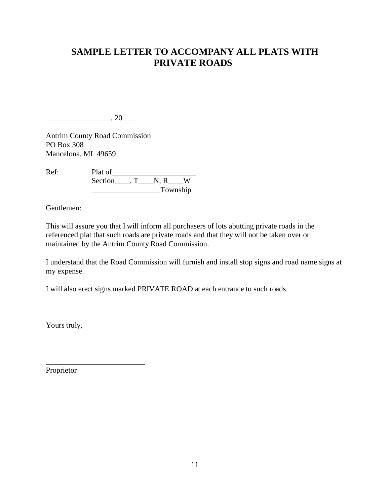### **SAMPLE LETTER TO ACCOMPANY ALL PLATS WITH PRIVATE ROADS**

 $\frac{1}{20}$ , 20 $\frac{1}{20}$ 

Antrim County Road Commission PO Box 308 Mancelona, MI 49659

Ref: Plat of\_\_\_\_\_\_\_\_\_\_\_\_\_\_\_\_\_\_\_\_\_\_ Section\_\_\_\_, T\_\_\_\_N, R\_\_\_W \_\_\_\_\_\_\_\_\_\_\_\_\_\_\_\_\_\_Township

Gentlemen:

This will assure you that I will inform all purchasers of lots abutting private roads in the referenced plat that such roads are private roads and that they will not be taken over or maintained by the Antrim County Road Commission.

I understand that the Road Commission will furnish and install stop signs and road name signs at my expense.

I will also erect signs marked PRIVATE ROAD at each entrance to such roads.

Yours truly,

Proprietor

\_\_\_\_\_\_\_\_\_\_\_\_\_\_\_\_\_\_\_\_\_\_\_\_\_\_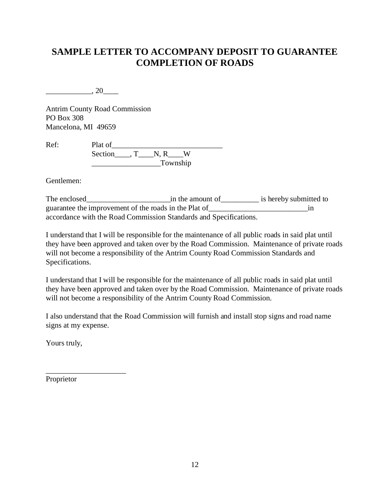## **SAMPLE LETTER TO ACCOMPANY DEPOSIT TO GUARANTEE COMPLETION OF ROADS**

 $\frac{1}{20}$ , 20

Antrim County Road Commission PO Box 308 Mancelona, MI 49659

Ref: Plat of\_\_\_\_\_\_\_\_\_\_\_\_\_\_\_\_\_\_\_\_\_\_\_\_\_\_\_\_\_ Section\_\_\_\_, T\_\_\_\_N, R\_\_\_W \_\_\_\_\_\_\_\_\_\_\_\_\_\_\_\_\_\_Township

Gentlemen:

The enclosed\_\_\_\_\_\_\_\_\_\_\_\_\_\_\_\_\_\_\_\_\_\_in the amount of\_\_\_\_\_\_\_\_\_\_ is hereby submitted to guarantee the improvement of the roads in the Plat of\_\_\_\_\_\_\_\_\_\_\_\_\_\_\_\_\_\_\_\_\_\_\_\_\_\_\_\_\_\_\_\_\_\_in accordance with the Road Commission Standards and Specifications.

I understand that I will be responsible for the maintenance of all public roads in said plat until they have been approved and taken over by the Road Commission. Maintenance of private roads will not become a responsibility of the Antrim County Road Commission Standards and Specifications.

I understand that I will be responsible for the maintenance of all public roads in said plat until they have been approved and taken over by the Road Commission. Maintenance of private roads will not become a responsibility of the Antrim County Road Commission.

I also understand that the Road Commission will furnish and install stop signs and road name signs at my expense.

Yours truly,

Proprietor

\_\_\_\_\_\_\_\_\_\_\_\_\_\_\_\_\_\_\_\_\_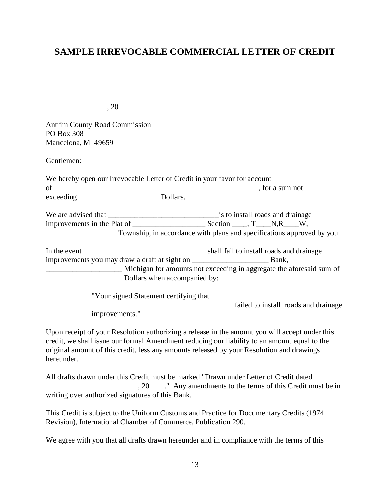### **SAMPLE IRREVOCABLE COMMERCIAL LETTER OF CREDIT**

 $\,$ , 20

Antrim County Road Commission PO Box 308 Mancelona, M 49659

Gentlemen:

| of                                     |                                                                                                       |  |
|----------------------------------------|-------------------------------------------------------------------------------------------------------|--|
|                                        |                                                                                                       |  |
|                                        |                                                                                                       |  |
|                                        | Township, in accordance with plans and specifications approved by you.                                |  |
|                                        |                                                                                                       |  |
|                                        |                                                                                                       |  |
|                                        |                                                                                                       |  |
|                                        |                                                                                                       |  |
|                                        |                                                                                                       |  |
|                                        | _Michigan for amounts not exceeding in aggregate the aforesaid sum of<br>Dollars when accompanied by: |  |
| "Your signed Statement certifying that |                                                                                                       |  |

improvements."

Upon receipt of your Resolution authorizing a release in the amount you will accept under this credit, we shall issue our formal Amendment reducing our liability to an amount equal to the original amount of this credit, less any amounts released by your Resolution and drawings hereunder.

All drafts drawn under this Credit must be marked "Drawn under Letter of Credit dated  $\Box$ , 20  $\Box$ . Any amendments to the terms of this Credit must be in writing over authorized signatures of this Bank.

This Credit is subject to the Uniform Customs and Practice for Documentary Credits (1974 Revision), International Chamber of Commerce, Publication 290.

We agree with you that all drafts drawn hereunder and in compliance with the terms of this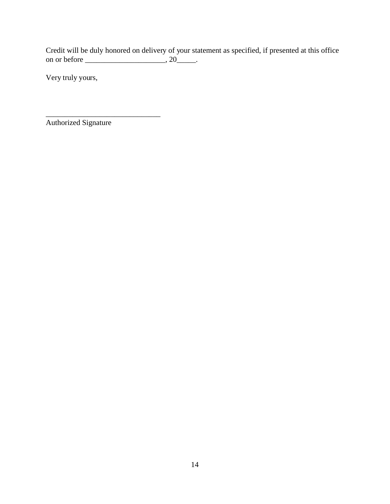Credit will be duly honored on delivery of your statement as specified, if presented at this office on or before  $\_\_\_\_\_\_\$ , 20 $\_\_\_\_\$ .

Very truly yours,

Authorized Signature

\_\_\_\_\_\_\_\_\_\_\_\_\_\_\_\_\_\_\_\_\_\_\_\_\_\_\_\_\_\_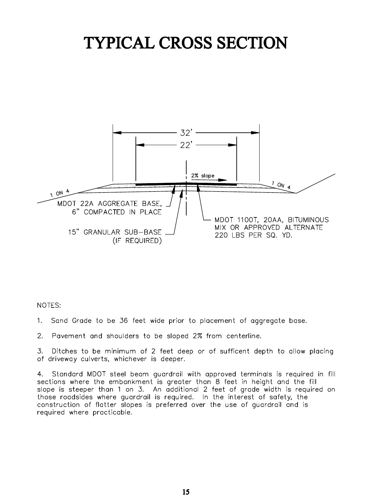# TYPICAL CROSS SECTION



NOTES:

- 1. Sand Grade to be 36 feet wide prior to placement of aggregate base.
- $2.$ Pavement and shoulders to be sloped 2% from centerline.

Ditches to be minimum of 2 feet deep or of sufficent depth to allow placing 3. of driveway culverts, whichever is deeper.

4. Standard MDOT steel beam quardrail with approved terminals is required in fill sections where the embankment is greater than 8 feet in height and the fill slope is steeper than 1 on 3. An additional 2 feet of grade width is required on those roadsides where guardrail is required. In the interest of safety, the construction of flatter slopes is preferred over the use of quardrail and is required where practicable.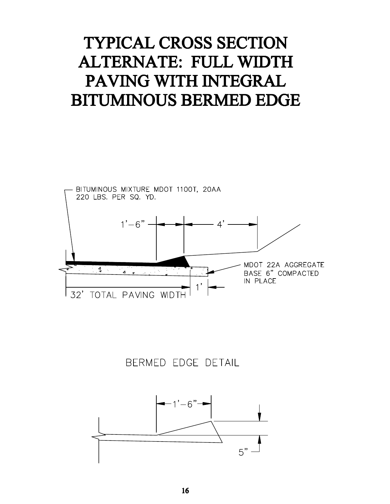# TYPICAL CROSS SECTION **ALTERNATE: FULL WIDTH** PAVING WITH INTEGRAL **BITUMINOUS BERMED EDGE**



BERMED EDGE DETAIL

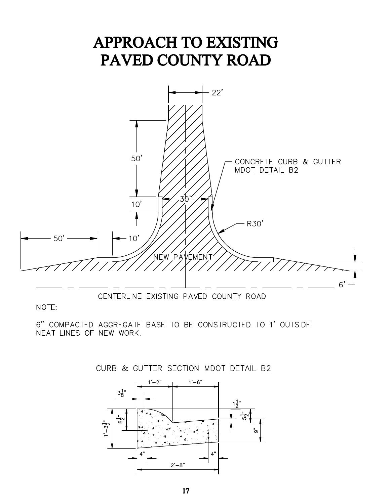

CENTERLINE EXISTING PAVED COUNTY ROAD

NOTE:

6" COMPACTED AGGREGATE BASE TO BE CONSTRUCTED TO 1' OUTSIDE NEAT LINES OF NEW WORK.



CURB & GUTTER SECTION MDOT DETAIL B2